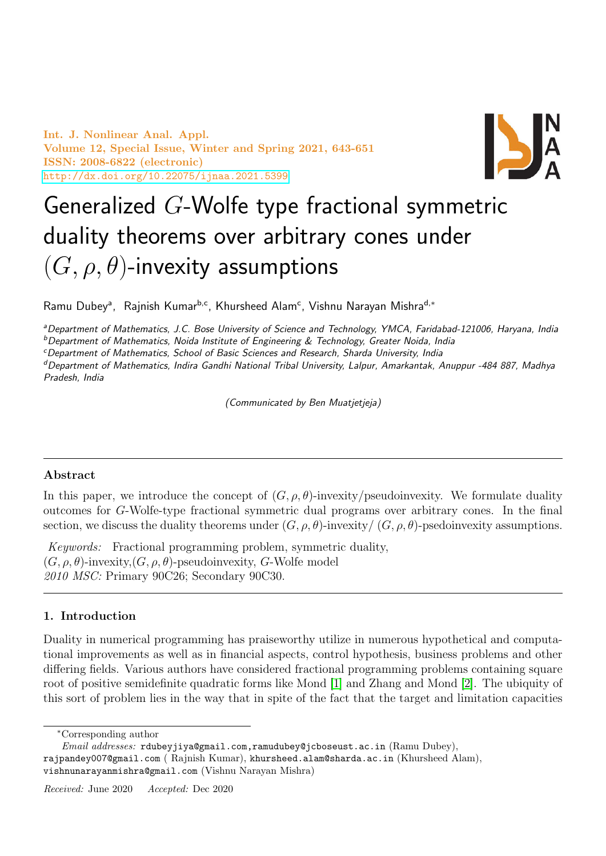Int. J. Nonlinear Anal. Appl. Volume 12, Special Issue, Winter and Spring 2021, 643-651 ISSN: 2008-6822 (electronic) <http://dx.doi.org/10.22075/ijnaa.2021.5399>



# Generalized G-Wolfe type fractional symmetric duality theorems over arbitrary cones under  $(G, \rho, \theta)$ -invexity assumptions

Ramu Dubey<sup>a</sup>, Rajnish Kumar<sup>b,c</sup>, Khursheed Alam<sup>c</sup>, Vishnu Narayan Mishra<sup>d,∗</sup>

aDepartment of Mathematics, J.C. Bose University of Science and Technology, YMCA, Faridabad-121006, Haryana, India  $b$ Department of Mathematics, Noida Institute of Engineering & Technology, Greater Noida, India

<sup>c</sup>Department of Mathematics, School of Basic Sciences and Research, Sharda University, India

<sup>d</sup>Department of Mathematics, Indira Gandhi National Tribal University, Lalpur, Amarkantak, Anuppur -484 887, Madhya Pradesh, India

(Communicated by Ben Muatjetjeja)

## Abstract

In this paper, we introduce the concept of  $(G, \rho, \theta)$ -invexity/pseudoinvexity. We formulate duality outcomes for G-Wolfe-type fractional symmetric dual programs over arbitrary cones. In the final section, we discuss the duality theorems under  $(G, \rho, \theta)$ -invexity/  $(G, \rho, \theta)$ -psedoinvexity assumptions.

Keywords: Fractional programming problem, symmetric duality,  $(G, \rho, \theta)$ -invexity,  $(G, \rho, \theta)$ -pseudoinvexity, G-Wolfe model 2010 MSC: Primary 90C26; Secondary 90C30.

## 1. Introduction

Duality in numerical programming has praiseworthy utilize in numerous hypothetical and computational improvements as well as in financial aspects, control hypothesis, business problems and other differing fields. Various authors have considered fractional programming problems containing square root of positive semidefinite quadratic forms like Mond [\[1\]](#page-8-0) and Zhang and Mond [\[2\]](#page-8-1). The ubiquity of this sort of problem lies in the way that in spite of the fact that the target and limitation capacities

<sup>∗</sup>Corresponding author

Email addresses: rdubeyjiya@gmail.com,ramudubey@jcboseust.ac.in (Ramu Dubey), rajpandey007@gmail.com ( Rajnish Kumar), khursheed.alam@sharda.ac.in (Khursheed Alam), vishnunarayanmishra@gmail.com (Vishnu Narayan Mishra)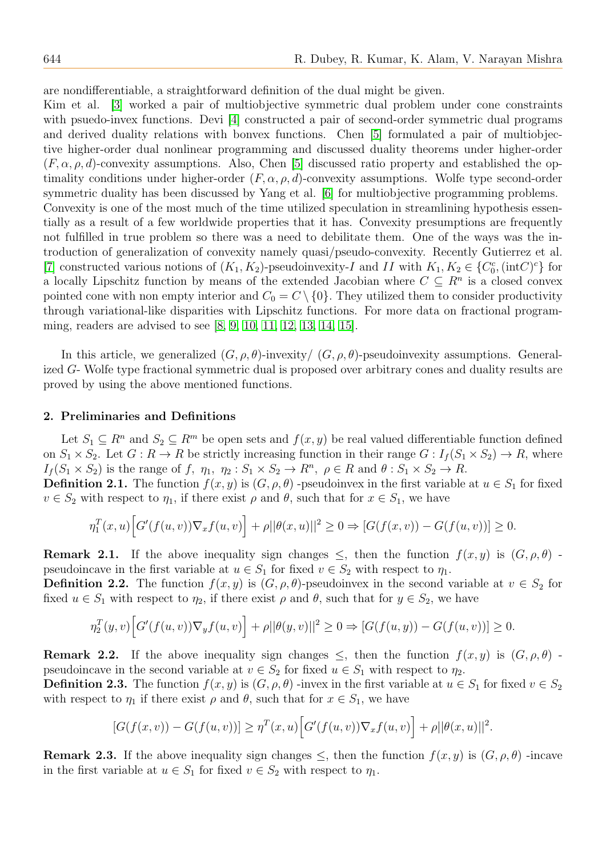are nondifferentiable, a straightforward definition of the dual might be given.

Kim et al. [\[3\]](#page-8-2) worked a pair of multiobjective symmetric dual problem under cone constraints with psuedo-invex functions. Devi [\[4\]](#page-8-3) constructed a pair of second-order symmetric dual programs and derived duality relations with bonvex functions. Chen [\[5\]](#page-8-4) formulated a pair of multiobjective higher-order dual nonlinear programming and discussed duality theorems under higher-order  $(F, \alpha, \rho, d)$ -convexity assumptions. Also, Chen [\[5\]](#page-8-4) discussed ratio property and established the optimality conditions under higher-order  $(F, \alpha, \rho, d)$ -convexity assumptions. Wolfe type second-order symmetric duality has been discussed by Yang et al. [\[6\]](#page-8-5) for multiobjective programming problems. Convexity is one of the most much of the time utilized speculation in streamlining hypothesis essentially as a result of a few worldwide properties that it has. Convexity presumptions are frequently not fulfilled in true problem so there was a need to debilitate them. One of the ways was the introduction of generalization of convexity namely quasi/pseudo-convexity. Recently Gutierrez et al. [\[7\]](#page-8-6) constructed various notions of  $(K_1, K_2)$ -pseudoinvexity-I and II with  $K_1, K_2 \in \{C_0^c, (\text{int}C)^c\}$  for a locally Lipschitz function by means of the extended Jacobian where  $C \subseteq R^n$  is a closed convex pointed cone with non empty interior and  $C_0 = C \setminus \{0\}$ . They utilized them to consider productivity through variational-like disparities with Lipschitz functions. For more data on fractional programming, readers are advised to see [\[8,](#page-8-7) [9,](#page-8-8) [10,](#page-8-9) [11,](#page-8-10) [12,](#page-8-11) [13,](#page-8-12) [14,](#page-8-13) [15\]](#page-8-14).

In this article, we generalized  $(G, \rho, \theta)$ -invexity  $(G, \rho, \theta)$ -pseudoinvexity assumptions. Generalized G- Wolfe type fractional symmetric dual is proposed over arbitrary cones and duality results are proved by using the above mentioned functions.

#### 2. Preliminaries and Definitions

Let  $S_1 \subseteq R^n$  and  $S_2 \subseteq R^m$  be open sets and  $f(x, y)$  be real valued differentiable function defined on  $S_1 \times S_2$ . Let  $G : R \to R$  be strictly increasing function in their range  $G : I_f(S_1 \times S_2) \to R$ , where  $I_f(S_1 \times S_2)$  is the range of f,  $\eta_1$ ,  $\eta_2: S_1 \times S_2 \to R^n$ ,  $\rho \in R$  and  $\theta: S_1 \times S_2 \to R$ .

**Definition 2.1.** The function  $f(x, y)$  is  $(G, \rho, \theta)$  -pseudoinvex in the first variable at  $u \in S_1$  for fixed  $v \in S_2$  with respect to  $\eta_1$ , if there exist  $\rho$  and  $\theta$ , such that for  $x \in S_1$ , we have

$$
\eta_1^T(x, u) \Big[ G'(f(u, v)) \nabla_x f(u, v) \Big] + \rho ||\theta(x, u)||^2 \ge 0 \Rightarrow [G(f(x, v)) - G(f(u, v))] \ge 0.
$$

**Remark 2.1.** If the above inequality sign changes  $\leq$ , then the function  $f(x, y)$  is  $(G, \rho, \theta)$ . pseudoincave in the first variable at  $u \in S_1$  for fixed  $v \in S_2$  with respect to  $\eta_1$ .

**Definition 2.2.** The function  $f(x, y)$  is  $(G, \rho, \theta)$ -pseudoinvex in the second variable at  $v \in S_2$  for fixed  $u \in S_1$  with respect to  $\eta_2$ , if there exist  $\rho$  and  $\theta$ , such that for  $y \in S_2$ , we have

$$
\eta_2^T(y, v) \Big[ G'(f(u, v)) \nabla_y f(u, v) \Big] + \rho ||\theta(y, v)||^2 \ge 0 \Rightarrow [G(f(u, y)) - G(f(u, v))] \ge 0.
$$

**Remark 2.2.** If the above inequality sign changes  $\leq$ , then the function  $f(x, y)$  is  $(G, \rho, \theta)$ . pseudoincave in the second variable at  $v \in S_2$  for fixed  $u \in S_1$  with respect to  $\eta_2$ .

**Definition 2.3.** The function  $f(x, y)$  is  $(G, \rho, \theta)$  -invex in the first variable at  $u \in S_1$  for fixed  $v \in S_2$ with respect to  $\eta_1$  if there exist  $\rho$  and  $\theta$ , such that for  $x \in S_1$ , we have

$$
[G(f(x,v)) - G(f(u,v))] \geq \eta^T(x,u) \Big[ G'(f(u,v)) \nabla_x f(u,v) \Big] + \rho ||\theta(x,u)||^2.
$$

**Remark 2.3.** If the above inequality sign changes  $\leq$ , then the function  $f(x, y)$  is  $(G, \rho, \theta)$  -incave in the first variable at  $u \in S_1$  for fixed  $v \in S_2$  with respect to  $\eta_1$ .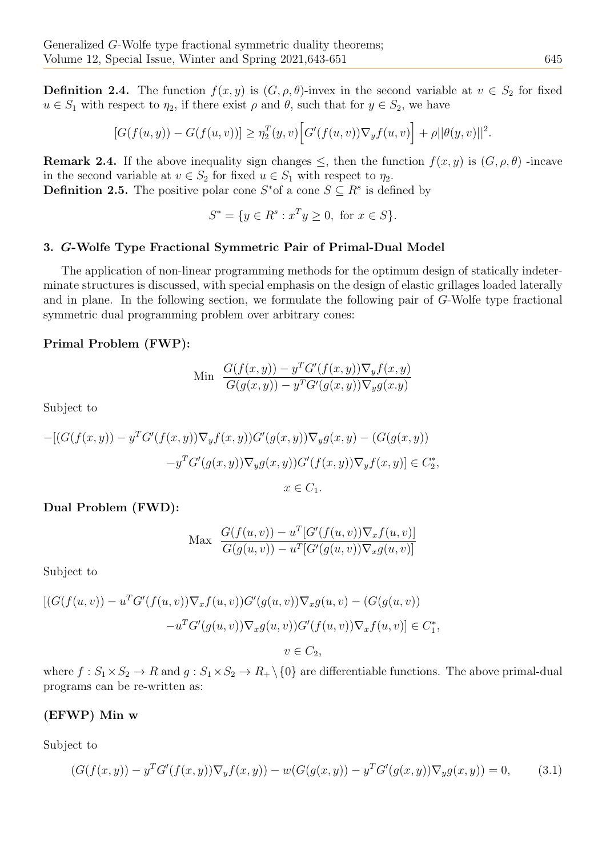**Definition 2.4.** The function  $f(x, y)$  is  $(G, \rho, \theta)$ -invex in the second variable at  $v \in S_2$  for fixed  $u \in S_1$  with respect to  $\eta_2$ , if there exist  $\rho$  and  $\theta$ , such that for  $y \in S_2$ , we have

$$
[G(f(u, y)) - G(f(u, v))] \geq \eta_2^T(y, v) \Big[ G'(f(u, v)) \nabla_y f(u, v) \Big] + \rho ||\theta(y, v)||^2.
$$

**Remark 2.4.** If the above inequality sign changes  $\leq$ , then the function  $f(x, y)$  is  $(G, \rho, \theta)$ -incave in the second variable at  $v \in S_2$  for fixed  $u \in S_1$  with respect to  $\eta_2$ . **Definition 2.5.** The positive polar cone  $S^*$  of a cone  $S \subseteq R^s$  is defined by

$$
S^* = \{ y \in R^s : x^T y \ge 0, \text{ for } x \in S \}.
$$

## 3. G-Wolfe Type Fractional Symmetric Pair of Primal-Dual Model

The application of non-linear programming methods for the optimum design of statically indeterminate structures is discussed, with special emphasis on the design of elastic grillages loaded laterally and in plane. In the following section, we formulate the following pair of G-Wolfe type fractional symmetric dual programming problem over arbitrary cones:

#### Primal Problem (FWP):

$$
\begin{aligned} \text{Min} \quad & \frac{G(f(x,y)) - y^T G'(f(x,y)) \nabla_y f(x,y)}{G(g(x,y)) - y^T G'(g(x,y)) \nabla_y g(x,y)} \end{aligned}
$$

Subject to

$$
-[(G(f(x,y)) - y^T G'(f(x,y))\nabla_y f(x,y))G'(g(x,y))\nabla_y g(x,y) - (G(g(x,y))-y^T G'(g(x,y))\nabla_y g(x,y))G'(f(x,y))\nabla_y f(x,y)] \in C_2^*,
$$

$$
x \in C_1.
$$

#### Dual Problem (FWD):

$$
\text{Max} \quad \frac{G(f(u,v)) - u^T [G'(f(u,v)) \nabla_x f(u,v)]}{G(g(u,v)) - u^T [G'(g(u,v)) \nabla_x g(u,v)]}
$$

Subject to

$$
[(G(f(u,v)) - uTG'(f(u,v))\nabla_x f(u,v))G'(g(u,v))\nabla_x g(u,v) - (G(g(u,v))- uTG'(g(u,v))\nabla_x g(u,v))G'(f(u,v))\nabla_x f(u,v)] \in C_1^*,
$$
  

$$
v \in C_2,
$$

where  $f: S_1 \times S_2 \to R$  and  $g: S_1 \times S_2 \to R_+ \setminus \{0\}$  are differentiable functions. The above primal-dual programs can be re-written as:

#### (EFWP) Min w

Subject to

<span id="page-2-0"></span>
$$
(G(f(x,y)) - y^T G'(f(x,y)) \nabla_y f(x,y)) - w(G(g(x,y)) - y^T G'(g(x,y)) \nabla_y g(x,y)) = 0,
$$
\n(3.1)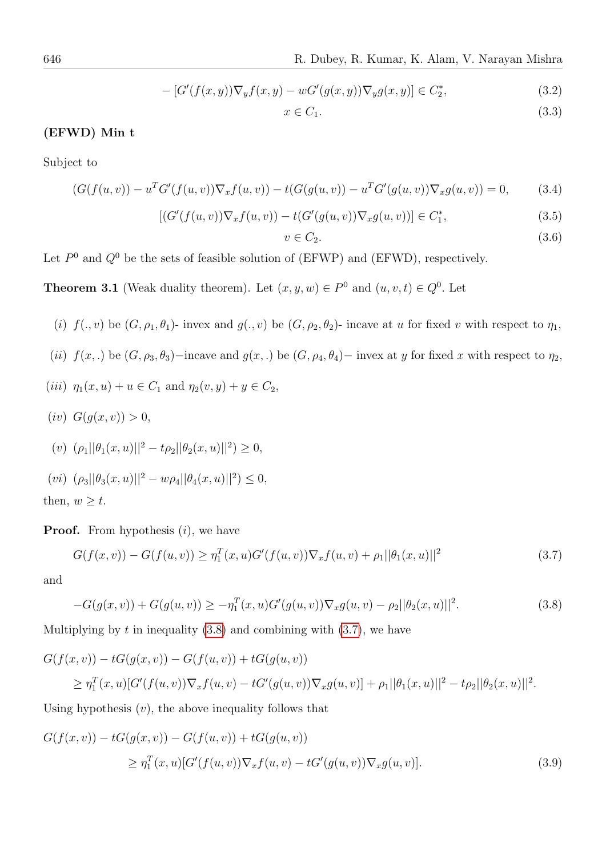646 R. Dubey, R. Kumar, K. Alam, V. Narayan Mishra

<span id="page-3-4"></span>
$$
- [G'(f(x, y))\nabla_y f(x, y) - wG'(g(x, y))\nabla_y g(x, y)] \in C_2^*,
$$
\n(3.2)

$$
x \in C_1. \tag{3.3}
$$

#### (EFWD) Min t

Subject to

<span id="page-3-5"></span>
$$
(G(f(u,v)) - uTG'(f(u,v))\nabla_x f(u,v)) - t(G(g(u,v)) - uTG'(g(u,v))\nabla_x g(u,v)) = 0,
$$
 (3.4)

<span id="page-3-3"></span>
$$
[(G'(f(u,v))\nabla_x f(u,v)) - t(G'(g(u,v))\nabla_x g(u,v))] \in C_1^*,
$$
\n(3.5)

$$
v \in C_2. \tag{3.6}
$$

Let  $P^0$  and  $Q^0$  be the sets of feasible solution of (EFWP) and (EFWD), respectively.

**Theorem 3.1** (Weak duality theorem). Let  $(x, y, w) \in P^0$  and  $(u, v, t) \in Q^0$ . Let

- (i)  $f(., v)$  be  $(G, \rho_1, \theta_1)$  invex and  $g(., v)$  be  $(G, \rho_2, \theta_2)$  incave at u for fixed v with respect to  $\eta_1$ ,
- (ii)  $f(x,.)$  be  $(G, \rho_3, \theta_3)$ −incave and  $g(x,.)$  be  $(G, \rho_4, \theta_4)$ − invex at y for fixed x with respect to  $\eta_2$ ,
- (*iii*)  $\eta_1(x, u) + u \in C_1$  and  $\eta_2(v, y) + y \in C_2$ ,
- (iv)  $G(q(x, v)) > 0$ ,

(v) 
$$
(\rho_1||\theta_1(x, u)||^2 - t\rho_2||\theta_2(x, u)||^2) \ge 0
$$
,

(vi)  $(\rho_3||\theta_3(x,u)||^2 - w\rho_4||\theta_4(x,u)||^2) \leq 0,$ then,  $w \geq t$ .

**Proof.** From hypothesis  $(i)$ , we have

<span id="page-3-1"></span>
$$
G(f(x,v)) - G(f(u,v)) \geq \eta_1^T(x,u)G'(f(u,v))\nabla_x f(u,v) + \rho_1||\theta_1(x,u)||^2
$$
\n(3.7)

and

<span id="page-3-0"></span>
$$
-G(g(x,v)) + G(g(u,v)) \ge -\eta_1^T(x,u)G'(g(u,v))\nabla_x g(u,v) - \rho_2||\theta_2(x,u)||^2. \tag{3.8}
$$

Multiplying by  $t$  in inequality  $(3.8)$  and combining with  $(3.7)$ , we have

$$
G(f(x, v)) - tG(g(x, v)) - G(f(u, v)) + tG(g(u, v))
$$
  
\n
$$
\geq \eta_1^T(x, u)[G'(f(u, v))\nabla_x f(u, v) - tG'(g(u, v))\nabla_x g(u, v)] + \rho_1||\theta_1(x, u)||^2 - t\rho_2||\theta_2(x, u)||^2.
$$

Using hypothesis  $(v)$ , the above inequality follows that

<span id="page-3-2"></span>
$$
G(f(x, v)) - tG(g(x, v)) - G(f(u, v)) + tG(g(u, v))
$$
  
\n
$$
\geq \eta_1^T(x, u)[G'(f(u, v))\nabla_x f(u, v) - tG'(g(u, v))\nabla_x g(u, v)].
$$
\n(3.9)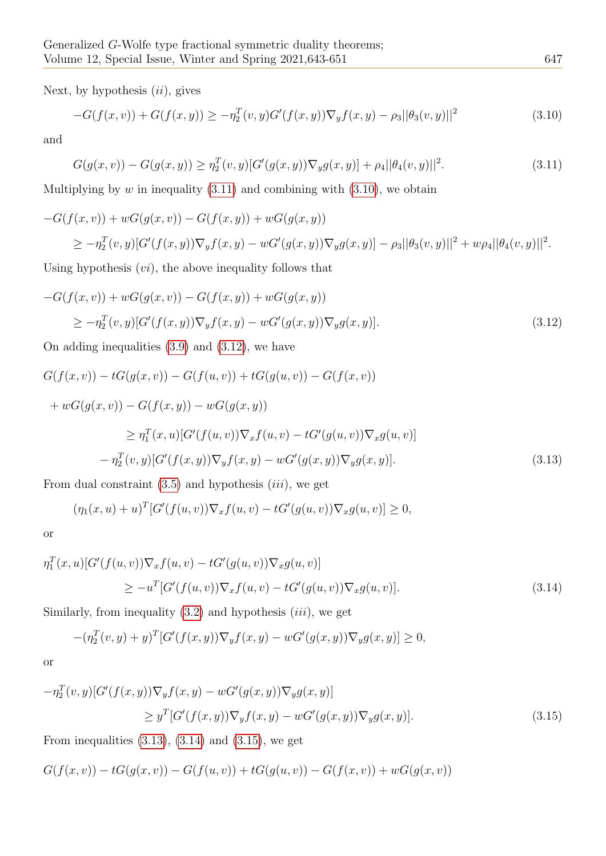Next, by hypothesis  $(ii)$ , gives

<span id="page-4-1"></span>
$$
-G(f(x,v)) + G(f(x,y)) \ge -\eta_2^T(v,y)G'(f(x,y))\nabla_y f(x,y) - \rho_3||\theta_3(v,y)||^2
$$
\n(3.10)

and

<span id="page-4-0"></span>
$$
G(g(x,v)) - G(g(x,y)) \ge \eta_2^T(v,y)[G'(g(x,y))\nabla_y g(x,y)] + \rho_4 ||\theta_4(v,y)||^2. \tag{3.11}
$$

Multiplying by  $w$  in inequality  $(3.11)$  and combining with  $(3.10)$ , we obtain

$$
-G(f(x, v)) + wG(g(x, v)) - G(f(x, y)) + wG(g(x, y))
$$
  
\n
$$
\geq -\eta_2^T(v, y)[G'(f(x, y))\nabla_y f(x, y) - wG'(g(x, y))\nabla_y g(x, y)] - \rho_3||\theta_3(v, y)||^2 + w\rho_4||\theta_4(v, y)||^2.
$$

Using hypothesis  $(v_i)$ , the above inequality follows that

<span id="page-4-2"></span>
$$
-G(f(x, v)) + wG(g(x, v)) - G(f(x, y)) + wG(g(x, y))
$$
  
\n
$$
\geq -\eta_2^T(v, y)[G'(f(x, y))\nabla_y f(x, y) - wG'(g(x, y))\nabla_y g(x, y)].
$$
\n(3.12)

On adding inequalities [\(3.9\)](#page-3-2) and [\(3.12\)](#page-4-2), we have

$$
G(f(x, v)) - tG(g(x, v)) - G(f(u, v)) + tG(g(u, v)) - G(f(x, v))
$$
  
+  $wG(g(x, v)) - G(f(x, y)) - wG(g(x, y))$   
 $\geq \eta_1^T(x, u)[G'(f(u, v))\nabla_x f(u, v) - tG'(g(u, v))\nabla_x g(u, v)]$   
 $- \eta_2^T(v, y)[G'(f(x, y))\nabla_y f(x, y) - wG'(g(x, y))\nabla_y g(x, y)].$  (3.13)

<span id="page-4-3"></span>From dual constraint  $(3.5)$  and hypothesis  $(iii)$ , we get

$$
(\eta_1(x, u) + u)^T [G'(f(u, v)) \nabla_x f(u, v) - tG'(g(u, v)) \nabla_x g(u, v)] \ge 0,
$$

or

<span id="page-4-4"></span>
$$
\eta_1^T(x, u)[G'(f(u, v))\nabla_x f(u, v) - tG'(g(u, v))\nabla_x g(u, v)]
$$
  
\n
$$
\geq -u^T[G'(f(u, v))\nabla_x f(u, v) - tG'(g(u, v))\nabla_x g(u, v)].
$$
\n(3.14)

Similarly, from inequality  $(3.2)$  and hypothesis  $(iii)$ , we get

$$
-(\eta_2^T(v, y) + y)^T [G'(f(x, y)) \nabla_y f(x, y) - wG'(g(x, y)) \nabla_y g(x, y)] \ge 0,
$$

or

<span id="page-4-5"></span>
$$
-\eta_2^T(v,y)[G'(f(x,y))\nabla_y f(x,y) - wG'(g(x,y))\nabla_y g(x,y)]
$$
  
\n
$$
\geq y^T[G'(f(x,y))\nabla_y f(x,y) - wG'(g(x,y))\nabla_y g(x,y)].
$$
\n(3.15)

From inequalities  $(3.13)$ ,  $(3.14)$  and  $(3.15)$ , we get

$$
G(f(x,v)) - tG(g(x,v)) - G(f(u,v)) + tG(g(u,v)) - G(f(x,v)) + wG(g(x,v))
$$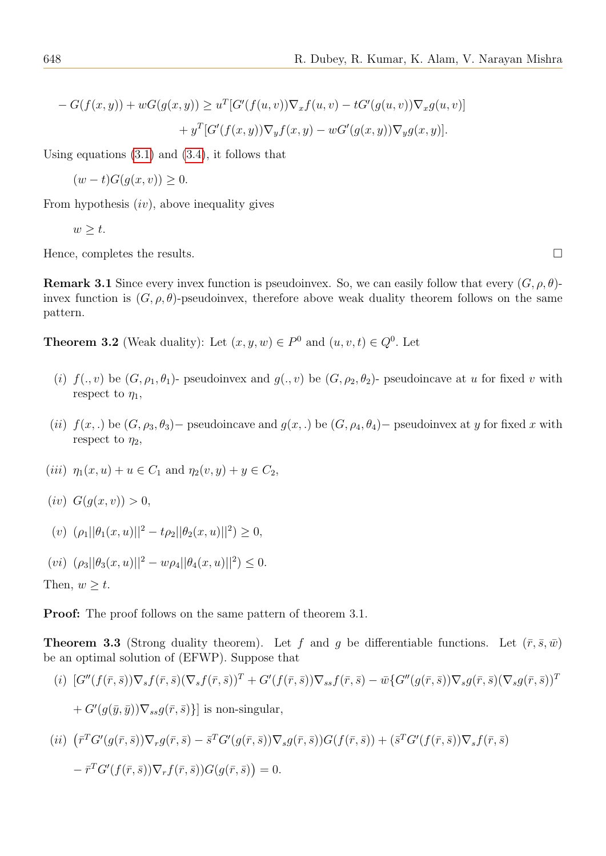$$
-G(f(x,y)) + wG(g(x,y)) \ge u^T [G'(f(u,v))\nabla_x f(u,v) - tG'(g(u,v))\nabla_x g(u,v)]
$$
  
+ 
$$
y^T [G'(f(x,y))\nabla_y f(x,y) - wG'(g(x,y))\nabla_y g(x,y)].
$$

Using equations  $(3.1)$  and  $(3.4)$ , it follows that

 $(w - t)G(q(x, v)) > 0.$ 

From hypothesis  $(iv)$ , above inequality gives

$$
w \geq t.
$$

Hence, completes the results.  $\Box$ 

**Remark 3.1** Since every invex function is pseudoinvex. So, we can easily follow that every  $(G, \rho, \theta)$ invex function is  $(G, \rho, \theta)$ -pseudoinvex, therefore above weak duality theorem follows on the same pattern.

**Theorem 3.2** (Weak duality): Let  $(x, y, w) \in P^0$  and  $(u, v, t) \in Q^0$ . Let

- (i)  $f(., v)$  be  $(G, \rho_1, \theta_1)$  pseudoinvex and  $g(., v)$  be  $(G, \rho_2, \theta_2)$  pseudoincave at u for fixed v with respect to  $\eta_1$ ,
- (ii)  $f(x,.)$  be  $(G, \rho_3, \theta_3)$  pseudoincave and  $g(x,.)$  be  $(G, \rho_4, \theta_4)$  pseudoinvex at y for fixed x with respect to  $\eta_2$ ,
- (*iii*)  $\eta_1(x, u) + u \in C_1$  and  $\eta_2(v, y) + y \in C_2$ ,
- (*iv*)  $G(q(x, v)) > 0$ ,

(v) 
$$
(\rho_1||\theta_1(x, u)||^2 - t\rho_2||\theta_2(x, u)||^2) \ge 0,
$$

$$
(vi) \ (\rho_3||\theta_3(x,u)||^2 - w\rho_4||\theta_4(x,u)||^2) \leq 0.
$$

Then,  $w \geq t$ .

Proof: The proof follows on the same pattern of theorem 3.1.

**Theorem 3.3** (Strong duality theorem). Let f and g be differentiable functions. Let  $(\bar{r}, \bar{s}, \bar{w})$ be an optimal solution of (EFWP). Suppose that

$$
(i) [G''(f(\bar{r},\bar{s}))\nabla_s f(\bar{r},\bar{s})(\nabla_s f(\bar{r},\bar{s}))^T + G'(f(\bar{r},\bar{s}))\nabla_{ss} f(\bar{r},\bar{s}) - \bar{w}\{G''(g(\bar{r},\bar{s}))\nabla_s g(\bar{r},\bar{s})(\nabla_s g(\bar{r},\bar{s}))^T\}
$$

 $+ G'(g(\bar{y}, \bar{y})) \nabla_{ss} g(\bar{r}, \bar{s})\}]$  is non-singular,

$$
(ii) \quad (\bar{r}^T G'(g(\bar{r}, \bar{s})) \nabla_r g(\bar{r}, \bar{s}) - \bar{s}^T G'(g(\bar{r}, \bar{s})) \nabla_s g(\bar{r}, \bar{s})) G(f(\bar{r}, \bar{s})) + (\bar{s}^T G'(f(\bar{r}, \bar{s})) \nabla_s f(\bar{r}, \bar{s})
$$

$$
- \bar{r}^T G'(f(\bar{r}, \bar{s})) \nabla_r f(\bar{r}, \bar{s})) G(g(\bar{r}, \bar{s})) = 0.
$$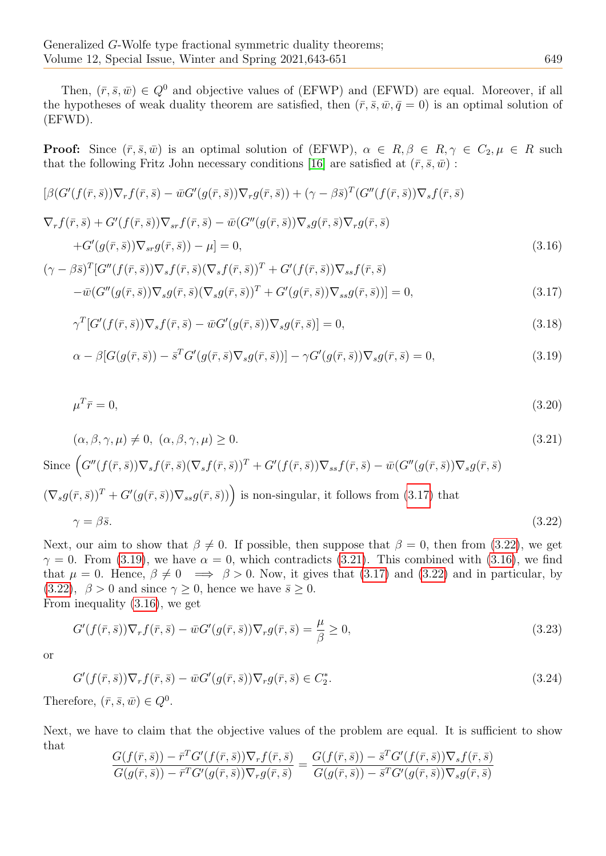Then,  $(\bar{r}, \bar{s}, \bar{w}) \in Q^0$  and objective values of (EFWP) and (EFWD) are equal. Moreover, if all the hypotheses of weak duality theorem are satisfied, then  $(\bar{r}, \bar{s}, \bar{w}, \bar{q}=0)$  is an optimal solution of (EFWD).

**Proof:** Since  $(\bar{r}, \bar{s}, \bar{w})$  is an optimal solution of (EFWP),  $\alpha \in R, \beta \in R, \gamma \in C_2, \mu \in R$  such that the following Fritz John necessary conditions [\[16\]](#page-8-15) are satisfied at  $(\bar{r}, \bar{s}, \bar{w})$ :

$$
[\beta(G'(f(\bar{r},\bar{s}))\nabla_r f(\bar{r},\bar{s}) - \bar{w}G'(g(\bar{r},\bar{s}))\nabla_r g(\bar{r},\bar{s})) + (\gamma - \beta \bar{s})^T (G''(f(\bar{r},\bar{s}))\nabla_s f(\bar{r},\bar{s})
$$
  

$$
\nabla_r f(\bar{r},\bar{s}) + G'(f(\bar{r},\bar{s}))\nabla_{sr} f(\bar{r},\bar{s}) - \bar{w}(G''(g(\bar{r},\bar{s}))\nabla_s g(\bar{r},\bar{s})\nabla_r g(\bar{r},\bar{s})
$$
  

$$
+ G'(g(\bar{r},\bar{s}))\nabla_{sr} g(\bar{r},\bar{s})) - \mu] = 0,
$$
  

$$
(\gamma - \beta \bar{s})^T [G''(f(\bar{r},\bar{s}))\nabla_s f(\bar{r},\bar{s})(\nabla_s f(\bar{r},\bar{s}))^T + G'(f(\bar{r},\bar{s}))\nabla_{ss} f(\bar{r},\bar{s})
$$
\n(3.16)

<span id="page-6-4"></span><span id="page-6-0"></span>
$$
-\overline{w}(G''(g(\overline{r},\overline{s}))\nabla_s g(\overline{r},\overline{s})(\nabla_s g(\overline{r},\overline{s}))^T + G'(g(\overline{r},\overline{s}))\nabla_{ss} g(\overline{r},\overline{s}))] = 0,
$$
\n(3.17)

<span id="page-6-7"></span>
$$
\gamma^T[G'(f(\bar{r},\bar{s}))\nabla_s f(\bar{r},\bar{s}) - \bar{w}G'(g(\bar{r},\bar{s}))\nabla_s g(\bar{r},\bar{s})] = 0,
$$
\n(3.18)

<span id="page-6-2"></span>
$$
\alpha - \beta \left[ G(g(\bar{r}, \bar{s})) - \bar{s}^T G'(g(\bar{r}, \bar{s}) \nabla_s g(\bar{r}, \bar{s})) \right] - \gamma G'(g(\bar{r}, \bar{s})) \nabla_s g(\bar{r}, \bar{s}) = 0, \tag{3.19}
$$

<span id="page-6-6"></span>
$$
\mu^T \bar{r} = 0,\tag{3.20}
$$

<span id="page-6-3"></span>
$$
(\alpha, \beta, \gamma, \mu) \neq 0, \ (\alpha, \beta, \gamma, \mu) \geq 0. \tag{3.21}
$$

Since 
$$
\left(G''(f(\bar{r},\bar{s}))\nabla_s f(\bar{r},\bar{s})(\nabla_s f(\bar{r},\bar{s}))^T + G'(f(\bar{r},\bar{s}))\nabla_{ss} f(\bar{r},\bar{s}) - \bar{w}(G''(g(\bar{r},\bar{s}))\nabla_s g(\bar{r},\bar{s})\right)
$$

<span id="page-6-1"></span>
$$
(\nabla_s g(\bar{r}, \bar{s}))^T + G'(g(\bar{r}, \bar{s}))\nabla_{ss} g(\bar{r}, \bar{s}))
$$
 is non-singular, it follows from (3.17) that  

$$
\gamma = \beta \bar{s}.
$$
 (3.22)

Next, our aim to show that  $\beta \neq 0$ . If possible, then suppose that  $\beta = 0$ , then from [\(3.22\)](#page-6-1), we get  $\gamma = 0$ . From [\(3.19\)](#page-6-2), we have  $\alpha = 0$ , which contradicts [\(3.21\)](#page-6-3). This combined with [\(3.16\)](#page-6-4), we find that  $\mu = 0$ . Hence,  $\beta \neq 0 \implies \beta > 0$ . Now, it gives that [\(3.17\)](#page-6-0) and [\(3.22\)](#page-6-1) and in particular, by [\(3.22\)](#page-6-1),  $\beta > 0$  and since  $\gamma \geq 0$ , hence we have  $\bar{s} \geq 0$ . From inequality [\(3.16\)](#page-6-4), we get

<span id="page-6-5"></span>
$$
G'(f(\bar{r},\bar{s}))\nabla_r f(\bar{r},\bar{s}) - \bar{w}G'(g(\bar{r},\bar{s}))\nabla_r g(\bar{r},\bar{s}) = \frac{\mu}{\beta} \ge 0,
$$
\n(3.23)

or

$$
G'(f(\bar{r},\bar{s}))\nabla_r f(\bar{r},\bar{s}) - \bar{w}G'(g(\bar{r},\bar{s}))\nabla_r g(\bar{r},\bar{s}) \in C_2^*.
$$
\n(3.24)

Therefore,  $(\bar{r}, \bar{s}, \bar{w}) \in Q^0$ .

Next, we have to claim that the objective values of the problem are equal. It is sufficient to show that  $T\alpha$ 

$$
\frac{G(f(\bar{r},\bar{s})) - \bar{r}^T G'(f(\bar{r},\bar{s}))\nabla_r f(\bar{r},\bar{s})}{G(g(\bar{r},\bar{s})) - \bar{r}^T G'(g(\bar{r},\bar{s}))\nabla_r g(\bar{r},\bar{s})} = \frac{G(f(\bar{r},\bar{s})) - \bar{s}^T G'(f(\bar{r},\bar{s}))\nabla_s f(\bar{r},\bar{s})}{G(g(\bar{r},\bar{s})) - \bar{s}^T G'(g(\bar{r},\bar{s}))\nabla_s g(\bar{r},\bar{s})}
$$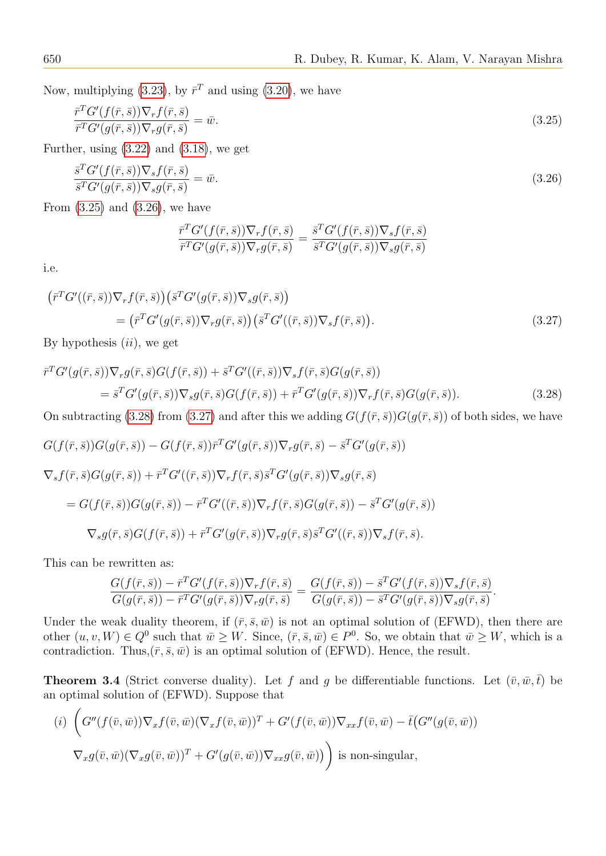Now, multiplying [\(3.23\)](#page-6-5), by  $\bar{r}^T$  and using [\(3.20\)](#page-6-6), we have

<span id="page-7-0"></span>
$$
\frac{\bar{r}^T G'(f(\bar{r}, \bar{s})) \nabla_r f(\bar{r}, \bar{s})}{\bar{r}^T G'(g(\bar{r}, \bar{s})) \nabla_r g(\bar{r}, \bar{s})} = \bar{w}.
$$
\n(3.25)

Further, using  $(3.22)$  and  $(3.18)$ , we get

<span id="page-7-1"></span>
$$
\frac{\bar{s}^T G'(f(\bar{r}, \bar{s})) \nabla_s f(\bar{r}, \bar{s})}{\bar{s}^T G'(g(\bar{r}, \bar{s})) \nabla_s g(\bar{r}, \bar{s})} = \bar{w}.\tag{3.26}
$$

From  $(3.25)$  and  $(3.26)$ , we have

$$
\frac{\bar{r}^T G'(f(\bar{r},\bar{s}))\nabla_r f(\bar{r},\bar{s})}{\bar{r}^T G'(g(\bar{r},\bar{s}))\nabla_r g(\bar{r},\bar{s})} = \frac{\bar{s}^T G'(f(\bar{r},\bar{s}))\nabla_s f(\bar{r},\bar{s})}{\bar{s}^T G'(g(\bar{r},\bar{s}))\nabla_s g(\bar{r},\bar{s})}
$$

i.e.

<span id="page-7-3"></span>
$$
\begin{split}\n\left(\bar{r}^T G'((\bar{r},\bar{s})) \nabla_r f(\bar{r},\bar{s})\right) & \left(\bar{s}^T G'(g(\bar{r},\bar{s})) \nabla_s g(\bar{r},\bar{s})\right) \\
&= \left(\bar{r}^T G'(g(\bar{r},\bar{s})) \nabla_r g(\bar{r},\bar{s})\right) \left(\bar{s}^T G'((\bar{r},\bar{s})) \nabla_s f(\bar{r},\bar{s})\right).\n\end{split} \tag{3.27}
$$

By hypothesis  $(ii)$ , we get

<span id="page-7-2"></span>
$$
\begin{split} \bar{r}^T G'(g(\bar{r},\bar{s})) \nabla_r g(\bar{r},\bar{s}) G(f(\bar{r},\bar{s})) + \bar{s}^T G'((\bar{r},\bar{s})) \nabla_s f(\bar{r},\bar{s}) G(g(\bar{r},\bar{s})) \\ &= \bar{s}^T G'(g(\bar{r},\bar{s})) \nabla_s g(\bar{r},\bar{s}) G(f(\bar{r},\bar{s})) + \bar{r}^T G'(g(\bar{r},\bar{s})) \nabla_r f(\bar{r},\bar{s}) G(g(\bar{r},\bar{s})). \end{split} \tag{3.28}
$$

On subtracting [\(3.28\)](#page-7-2) from [\(3.27\)](#page-7-3) and after this we adding  $G(f(\bar{r},\bar{s}))G(g(\bar{r},\bar{s}))$  of both sides, we have

$$
G(f(\bar{r},\bar{s}))G(g(\bar{r},\bar{s})) - G(f(\bar{r},\bar{s}))\bar{\tau}^T G'(g(\bar{r},\bar{s}))\nabla_r g(\bar{r},\bar{s}) - \bar{s}^T G'(g(\bar{r},\bar{s}))
$$
  

$$
\nabla_s f(\bar{r},\bar{s})G(g(\bar{r},\bar{s})) + \bar{r}^T G'((\bar{r},\bar{s}))\nabla_r f(\bar{r},\bar{s})\bar{s}^T G'(g(\bar{r},\bar{s}))\nabla_s g(\bar{r},\bar{s})
$$
  

$$
= G(f(\bar{r},\bar{s}))G(g(\bar{r},\bar{s})) - \bar{r}^T G'((\bar{r},\bar{s}))\nabla_r f(\bar{r},\bar{s})G(g(\bar{r},\bar{s})) - \bar{s}^T G'(g(\bar{r},\bar{s}))
$$
  

$$
\nabla_s g(\bar{r},\bar{s})G(f(\bar{r},\bar{s})) + \bar{r}^T G'(g(\bar{r},\bar{s}))\nabla_r g(\bar{r},\bar{s})\bar{s}^T G'((\bar{r},\bar{s}))\nabla_s f(\bar{r},\bar{s}).
$$

This can be rewritten as:

$$
\frac{G(f(\bar{r},\bar{s})) - \bar{r}^T G'(f(\bar{r},\bar{s}))\nabla_r f(\bar{r},\bar{s})}{G(g(\bar{r},\bar{s})) - \bar{r}^T G'(g(\bar{r},\bar{s}))\nabla_r g(\bar{r},\bar{s})} = \frac{G(f(\bar{r},\bar{s})) - \bar{s}^T G'(f(\bar{r},\bar{s}))\nabla_s f(\bar{r},\bar{s})}{G(g(\bar{r},\bar{s})) - \bar{s}^T G'(g(\bar{r},\bar{s}))\nabla_s g(\bar{r},\bar{s})}.
$$

Under the weak duality theorem, if  $(\bar{r}, \bar{s}, \bar{w})$  is not an optimal solution of (EFWD), then there are other  $(u, v, W) \in Q^0$  such that  $\overline{w} \geq W$ . Since,  $(\overline{r}, \overline{s}, \overline{w}) \in P^0$ . So, we obtain that  $\overline{w} \geq W$ , which is a contradiction. Thus,  $(\bar{r}, \bar{s}, \bar{w})$  is an optimal solution of (EFWD). Hence, the result.

**Theorem 3.4** (Strict converse duality). Let f and g be differentiable functions. Let  $(\bar{v}, \bar{w}, \bar{t})$  be an optimal solution of (EFWD). Suppose that

$$
(i) \left( G''(f(\bar{v}, \bar{w})) \nabla_x f(\bar{v}, \bar{w}) (\nabla_x f(\bar{v}, \bar{w}))^T + G'(f(\bar{v}, \bar{w})) \nabla_{xx} f(\bar{v}, \bar{w}) - \bar{t}(G''(g(\bar{v}, \bar{w}))
$$
  

$$
\nabla_x g(\bar{v}, \bar{w}) (\nabla_x g(\bar{v}, \bar{w}))^T + G'(g(\bar{v}, \bar{w})) \nabla_{xx} g(\bar{v}, \bar{w}) \right) \text{ is non-singular},
$$